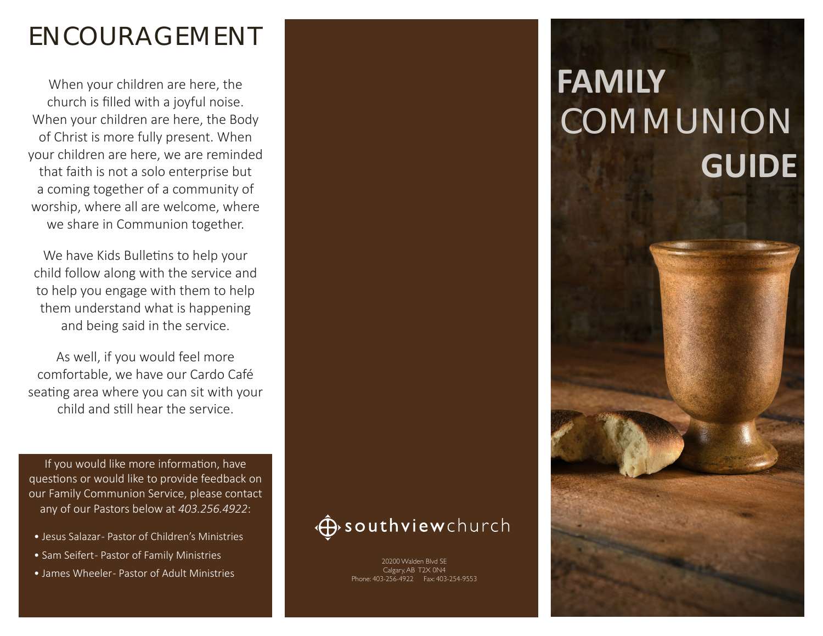## ENCOURAGEMENT

When your children are here, the church is filled with a joyful noise. When your children are here, the Body of Christ is more fully present. When your children are here, we are reminded that faith is not a solo enterprise but a coming together of a community of worship, where all are welcome, where we share in Communion together.

We have Kids Bulletins to help your child follow along with the service and to help you engage with them to help them understand what is happening and being said in the service.

As well, if you would feel more comfortable, we have our Cardo Café seating area where you can sit with your child and still hear the service.

If you would like more information, have questions or would like to provide feedback on our Family Communion Service, please contact any of our Pastors below at *403.256.4922*:

- Jesus Salazar- Pastor of Children's Ministries
- Sam Seifert- Pastor of Family Ministries
- James Wheeler- Pastor of Adult Ministries

### **D** southview church

20200 Walden Blvd SE Calgary, AB T2X 0N4 Phone: 403-256-4922 Fax: 403-254-9553

# **FAMILY COMMUNION GUIDE**